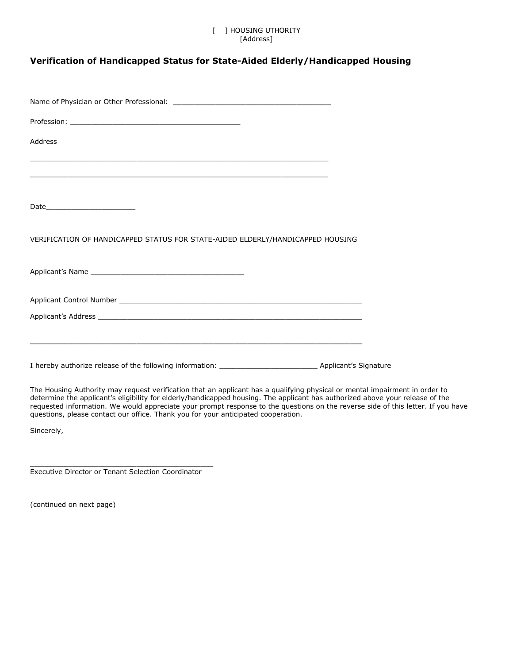## [ ] HOUSING UTHORITY [Address]

## **[Verification of Handicapped Status for State-Aided Elderly/Handicapped Housing](http://www.mass.gov/dhcd/phra/ph/hm/physicverification.htm)**

| Address                                                                        |  |
|--------------------------------------------------------------------------------|--|
|                                                                                |  |
|                                                                                |  |
| VERIFICATION OF HANDICAPPED STATUS FOR STATE-AIDED ELDERLY/HANDICAPPED HOUSING |  |
|                                                                                |  |
|                                                                                |  |
|                                                                                |  |
|                                                                                |  |

The Housing Authority may request verification that an applicant has a qualifying physical or mental impairment in order to determine the applicant's eligibility for elderly/handicapped housing. The applicant has authorized above your release of the requested information. We would appreciate your prompt response to the questions on the reverse side of this letter. If you have questions, please contact our office. Thank you for your anticipated cooperation.

Sincerely,

\_\_\_\_\_\_\_\_\_\_\_\_\_\_\_\_\_\_\_\_\_\_\_\_\_\_\_\_\_\_\_\_\_\_\_\_\_\_\_\_\_\_\_ Executive Director or Tenant Selection Coordinator

(continued on next page)